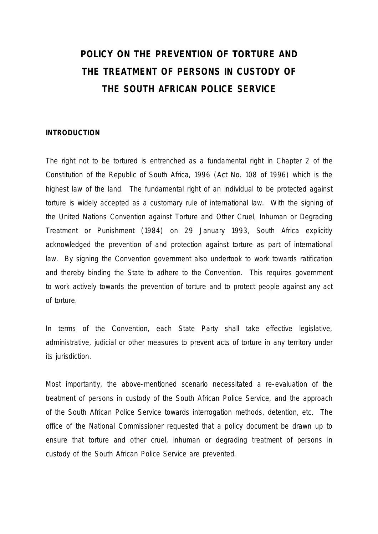# **POLICY ON THE PREVENTION OF TORTURE AND THE TREATMENT OF PERSONS IN CUSTODY OF THE SOUTH AFRICAN POLICE SERVICE**

# **INTRODUCTION**

The right not to be tortured is entrenched as a fundamental right in Chapter 2 of the Constitution of the Republic of South Africa, 1996 (Act No. 108 of 1996) which is the highest law of the land. The fundamental right of an individual to be protected against torture is widely accepted as a customary rule of international law. With the signing of the United Nations Convention against Torture and Other Cruel, Inhuman or Degrading Treatment or Punishment (1984) on 29 January 1993, South Africa explicitly acknowledged the prevention of and protection against torture as part of international law. By signing the Convention government also undertook to work towards ratification and thereby binding the State to adhere to the Convention. This requires government to work actively towards the prevention of torture and to protect people against any act of torture.

In terms of the Convention, each State Party shall take effective legislative, administrative, judicial or other measures to prevent acts of torture in any territory under its jurisdiction.

Most importantly, the above-mentioned scenario necessitated a re-evaluation of the treatment of persons in custody of the South African Police Service, and the approach of the South African Police Service towards interrogation methods, detention, etc. The office of the National Commissioner requested that a policy document be drawn up to ensure that torture and other cruel, inhuman or degrading treatment of persons in custody of the South African Police Service are prevented.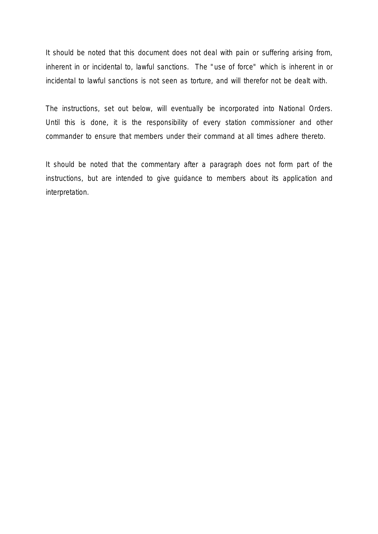It should be noted that this document does not deal with pain or suffering arising from, inherent in or incidental to, lawful sanctions. The "use of force" which is inherent in or incidental to lawful sanctions is not seen as torture, and will therefor not be dealt with.

The instructions, set out below, will eventually be incorporated into National Orders. Until this is done, it is the responsibility of every station commissioner and other commander to ensure that members under their command at all times adhere thereto.

It should be noted that the commentary after a paragraph does not form part of the instructions, but are intended to give guidance to members about its application and interpretation.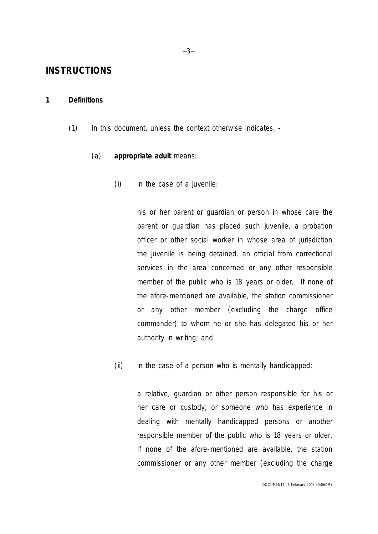# **INSTRUCTIONS**

# **1 Definitions**

(1) In this document, unless the context otherwise indicates, -

# (a) *appropriate adult* means:

(i) in the case of a juvenile:

his or her parent or guardian or person in whose care the parent or guardian has placed such juvenile, a probation officer or other social worker in whose area of jurisdiction the juvenile is being detained, an official from correctional services in the area concerned or any other responsible member of the public who is 18 years or older. If none of the afore-mentioned are available, the *station commissioner* or any other *member* (excluding the *charge office commander*) to whom he or she has delegated his or her authority in writing; and

(ii) in the case of a person who is mentally handicapped:

a relative, guardian or other person responsible for his or her care or custody, or someone who has experience in dealing with mentally handicapped persons or another responsible member of the public who is 18 years or older. If none of the afore-mentioned are available, the *station commissioner* or any other *member* (excluding the *charge*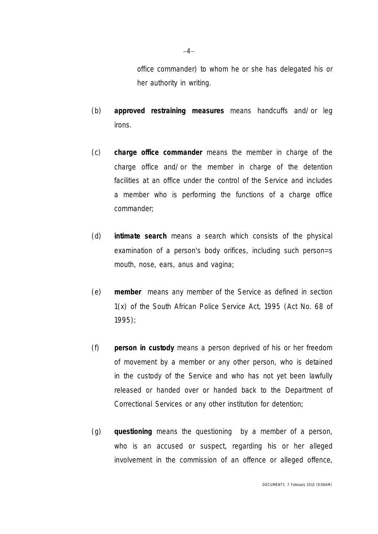*office commander*) to whom he or she has delegated his or her authority in writing.

- (b) *approved restraining measures* means handcuffs and/or leg irons.
- (c) *charge office commander* means the *member* in charge of the charge office and/or the *member* in charge of the detention facilities at an office under the control of *the Service* and includes a *member* who is performing the functions of a *charge office commander*;
- (d) *intimate search* means a search which consists of the physical examination of a person's body orifices, including such person=s mouth, nose, ears, anus and vagina;
- (e) *member* means any member of *the Service* as defined in section 1(x) of the South African Police Service Act, 1995 (Act No. 68 of 1995);
- (f) *person in custody* means a person deprived of his or her freedom of movement by a *member* or any other person, who is detained in the custody of *the Service* and who has not yet been lawfully released or handed over or handed back to the Department of Correctional Services or any other institution for detention;
- (g) *questioning* means the questioning by a *member* of a person, who is an accused or suspect, regarding his or her alleged involvement in the commission of an offence or alleged offence,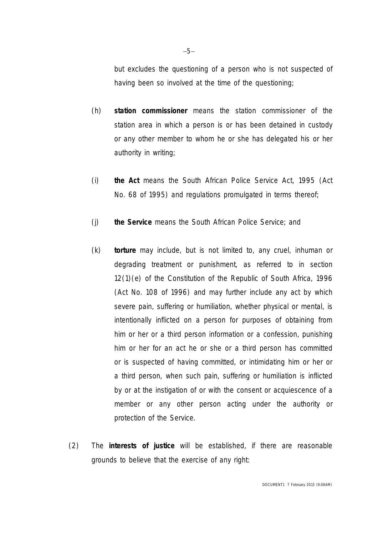but excludes the questioning of a person who is not suspected of having been so involved at the time of the questioning;

- (h) *station commissioner* means the station commissioner of the station area in which a person is or has been detained in custody or any other *member* to whom he or she has delegated his or her authority in writing;
- (i) *the Act* means the South African Police Service Act, 1995 (Act No. 68 of 1995) and regulations promulgated in terms thereof;
- (j) *the Service* means the South African Police Service; and
- (k) *torture* may include, but is not limited to, any cruel, inhuman or degrading treatment or punishment, as referred to in section 12(1)(e) of the Constitution of the Republic of South Africa, 1996 (Act No. 108 of 1996) and may further include any act by which severe pain, suffering or humiliation, whether physical or mental, is intentionally inflicted on a person for purposes of obtaining from him or her or a third person information or a confession, punishing him or her for an act he or she or a third person has committed or is suspected of having committed, or intimidating him or her or a third person, when such pain, suffering or humiliation is inflicted by or at the instigation of or with the consent or acquiescence of a *member* or any other person acting under the authority or protection of *the Service*.
- (2) The *interests of justice* will be established, if there are reasonable grounds to believe that the exercise of any right: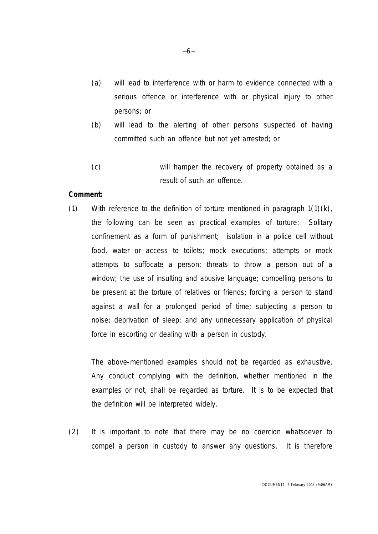- (a) will lead to interference with or harm to evidence connected with a serious offence or interference with or physical injury to other persons; or
- (b) will lead to the alerting of other persons suspected of having committed such an offence but not yet arrested; or
- (c) will hamper the recovery of property obtained as a result of such an offence.

#### **Comment:**

(1) With reference to the definition of *torture* mentioned in paragraph 1(1)(k), the following can be seen as practical examples of *torture*: Solitary confinement as a form of punishment; isolation in a police cell without food, water or access to toilets; mock executions; attempts or mock attempts to suffocate a person; threats to throw a person out of a window; the use of insulting and abusive language; compelling persons to be present at the *torture* of relatives or friends; forcing a person to stand against a wall for a prolonged period of time; subjecting a person to noise; deprivation of sleep; and any unnecessary application of physical force in escorting or dealing with a *person in custody*.

The above-mentioned examples should not be regarded as exhaustive. Any conduct complying with the definition, whether mentioned in the examples or not, shall be regarded as *torture*. It is to be expected that the definition will be interpreted widely.

(2) It is important to note that there may be no coercion whatsoever to compel a *person in custody* to answer any questions. It is therefore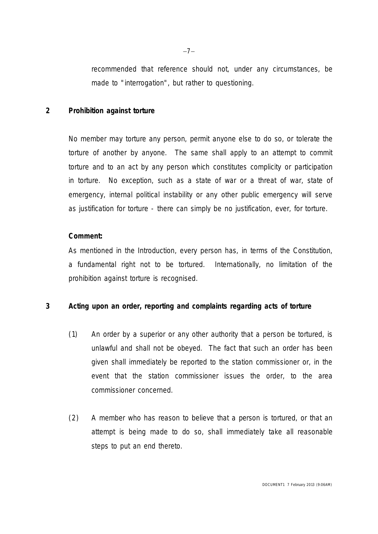recommended that reference should not, under any circumstances, be made to "interrogation", but rather to *questioning*.

# **2 Prohibition against** *torture*

No *member* may *torture* any person, permit anyone else to do so, or tolerate the *torture* of another by anyone. The same shall apply to an attempt to commit *torture* and to an act by any person which constitutes complicity or participation in *torture*. No exception, such as a state of war or a threat of war, state of emergency, internal political instability or any other public emergency will serve as justification for *torture* - there can simply be no justification, ever, for *torture*.

## **Comment:**

As mentioned in the Introduction, every person has, in terms of the Constitution, a fundamental right not to be *tortured*. Internationally, no limitation of the prohibition against *torture* is recognised.

# **3 Acting upon an order, reporting and complaints regarding acts of** *torture*

- (1) An order by a superior or any other authority that a person be *tortured*, is unlawful and shall not be obeyed. The fact that such an order has been given shall immediately be reported to the *station commissioner* or, in the event that the *station commissioner* issues the order, to the area commissioner concerned.
- (2) A *member* who has reason to believe that a person is *tortured*, or that an attempt is being made to do so, shall immediately take all reasonable steps to put an end thereto.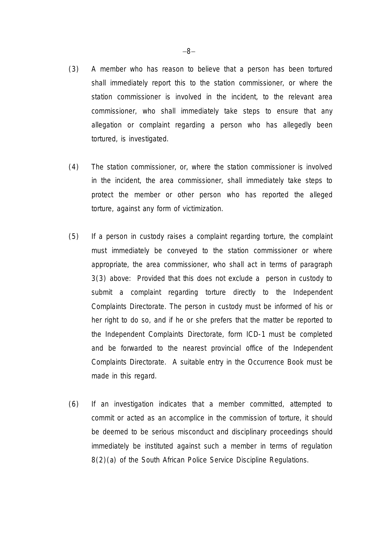- (3) A *member* who has reason to believe that a person has been *tortured* shall immediately report this to the *station commissioner*, or where the *station commissioner* is involved in the incident, to the relevant area commissioner, who shall immediately take steps to ensure that any allegation or complaint regarding a person who has allegedly been *tortured,* is investigated.
- (4) The *station commissioner,* or, where the *station commissioner* is involved in the incident, the area commissioner, shall immediately take steps to protect the *member* or other person who has reported the alleged *torture*, against any form of victimization.
- (5) If a *person in custody* raises a complaint regarding *torture,* the complaint must immediately be conveyed to the *station commissioner* or where appropriate, the area commissioner, who shall act in terms of paragraph 3(3) above: Provided that this does not exclude a *person in custody* to submit a complaint regarding *torture* directly to the Independent Complaints Directorate. The *person in custody* must be informed of his or her right to do so, and if he or she prefers that the matter be reported to the Independent Complaints Directorate, form ICD-1 must be completed and be forwarded to the nearest provincial office of the Independent Complaints Directorate. A suitable entry in the Occurrence Book must be made in this regard.
- (6) If an investigation indicates that a *member* committed, attempted to commit or acted as an accomplice in the commission of *torture*, it should be deemed to be serious misconduct and disciplinary proceedings should immediately be instituted against such a *member* in terms of regulation 8(2)(a) of the South African Police Service Discipline Regulations.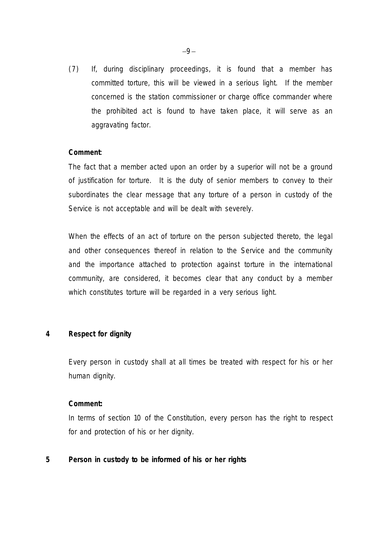(7) If, during disciplinary proceedings, it is found that a *member* has committed *torture*, this will be viewed in a serious light. If the *member* concerned is the *station commissioner* or *charge office commander* where the prohibited act is found to have taken place, it will serve as an aggravating factor.

# **Comment**:

The fact that a *member* acted upon an order by a superior will not be a ground of justification for *torture*. It is the duty of senior *members* to convey to their subordinates the clear message that any *torture* of a *person in custody* of *the Service* is not acceptable and will be dealt with severely.

When the effects of an act of *torture* on the person subjected thereto, the legal and other consequences thereof in relation to *the Service* and the community and the importance attached to protection against *torture* in the international community, are considered, it becomes clear that any conduct by a *member* which constitutes *torture* will be regarded in a very serious light.

# **4 Respect for dignity**

Every *person in custody* shall at all times be treated with respect for his or her human dignity.

#### **Comment:**

In terms of section 10 of the Constitution, every person has the right to respect for and protection of his or her dignity.

# **5** *Person in custody* **to be informed of his or her rights**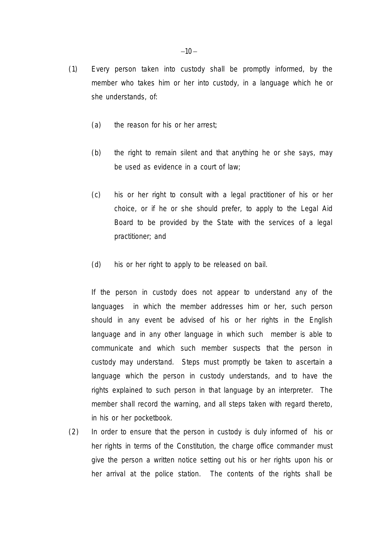- (1) Every person taken into custody shall be promptly informed, by the *member* who takes him or her into custody, in a language which he or she understands, of:
	- (a) the reason for his or her arrest;
	- (b) the right to remain silent and that anything he or she says, may be used as evidence in a court of law;
	- (c) his or her right to consult with a legal practitioner of his or her choice, or if he or she should prefer, to apply to the Legal Aid Board to be provided by the State with the services of a legal practitioner; and
	- (d) his or her right to apply to be released on bail.

If the *person in custody* does not appear to understand any of the languages in which the *member* addresses him or her, such person should in any event be advised of his or her rights in the English language and in any other language in which such *member* is able to communicate and which such *member* suspects that the *person in custody* may understand. Steps must promptly be taken to ascertain a language which the *person in custody* understands, and to have the rights explained to such person in that language by an interpreter. The *member* shall record the warning, and all steps taken with regard thereto, in his or her pocketbook.

(2) In order to ensure that the *person in custody* is duly informed of his or her rights in terms of the Constitution, the *charge office commander* must give the person a written notice setting out his or her rights upon his or her arrival at the police station. The contents of the rights shall be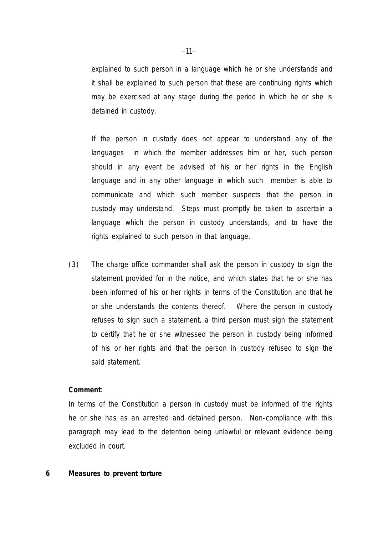explained to such person in a language which he or she understands and it shall be explained to such person that these are continuing rights which may be exercised at any stage during the period in which he or she is detained in custody.

If the *person in custody* does not appear to understand any of the languages in which the *member* addresses him or her, such person should in any event be advised of his or her rights in the English language and in any other language in which such *member* is able to communicate and which such *member* suspects that the *person in custody* may understand. Steps must promptly be taken to ascertain a language which the *person in custody* understands, and to have the rights explained to such person in that language.

(3) The *charge office commander* shall ask the *person in custody* to sign the statement provided for in the notice, and which states that he or she has been informed of his or her rights in terms of the Constitution and that he or she understands the contents thereof. Where the *person in custody* refuses to sign such a statement, a third person must sign the statement to certify that he or she witnessed the *person in custody* being informed of his or her rights and that the *person in custody* refused to sign the said statement.

#### **Comment**:

In terms of the Constitution a *person in custody* must be informed of the rights he or she has as an arrested and detained person. Non-compliance with this paragraph may lead to the detention being unlawful or relevant evidence being excluded in court.

#### **6 Measures to prevent** *torture*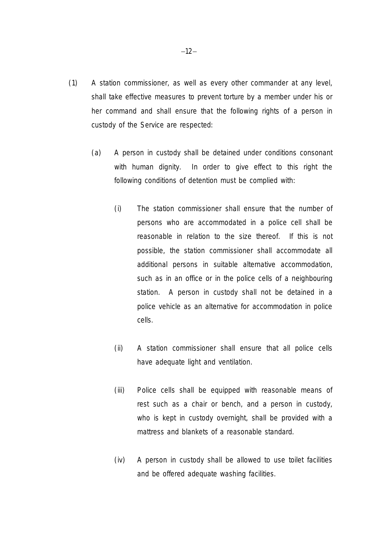- (1) A *station commissioner,* as well as every other commander at any level, shall take effective measures to prevent *torture* by a *member* under his or her command and shall ensure that the following rights of a *person in custody* of *the Service* are respected:
	- (a) A *person in custody* shall be detained under conditions consonant with human dignity. In order to give effect to this right the following conditions of detention must be complied with:
		- (i) The *station commissioner* shall ensure that the number of persons who are accommodated in a police cell shall be reasonable in relation to the size thereof. If this is not possible, the *station commissioner* shall accommodate all additional persons in suitable alternative accommodation, such as in an office or in the police cells of a neighbouring station. A *person in custody* shall not be detained in a police vehicle as an alternative for accommodation in police cells.
		- (ii) A *station commissioner* shall ensure that all police cells have adequate light and ventilation.
		- (iii) Police cells shall be equipped with reasonable means of rest such as a chair or bench, and a *person in custody*, who is kept in custody overnight, shall be provided with a mattress and blankets of a reasonable standard.
		- (iv) A *person in custody* shall be allowed to use toilet facilities and be offered adequate washing facilities.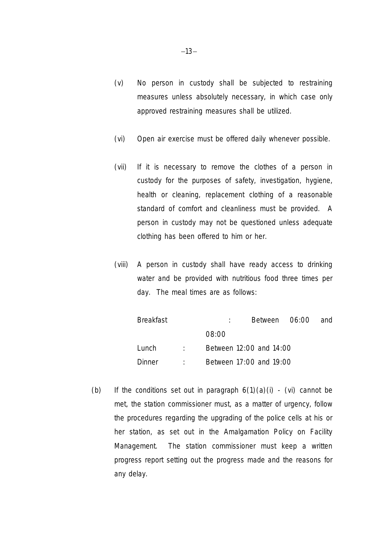- (v) No *person in custody* shall be subjected to restraining measures unless absolutely necessary, in which case only *approved restraining measures* shall be utilized.
- (vi) Open air exercise must be offered daily whenever possible.
- (vii) If it is necessary to remove the clothes of a *person in custody* for the purposes of safety, investigation, hygiene, health or cleaning, replacement clothing of a reasonable standard of comfort and cleanliness must be provided. A *person in custody* may not be questioned unless adequate clothing has been offered to him or her.
- (viii) A *person in custody* shall have ready access to drinking water and be provided with nutritious food three times per day. The meal times are as follows:

| <b>Breakfast</b> |                   |                         | Between 06:00           |  | and |
|------------------|-------------------|-------------------------|-------------------------|--|-----|
|                  |                   | 08:00                   |                         |  |     |
| Lunch            | <b>Property</b>   | Between 12:00 and 14:00 |                         |  |     |
| <b>Dinner</b>    | <b>Contractor</b> |                         | Between 17:00 and 19:00 |  |     |

(b) If the conditions set out in paragraph  $6(1)(a)(i)$  - (vi) cannot be met, the *station commissioner* must, as a matter of urgency, follow the procedures regarding the upgrading of the police cells at his or her station, as set out in the Amalgamation Policy on Facility Management. The *station commissioner* must keep a written progress report setting out the progress made and the reasons for any delay.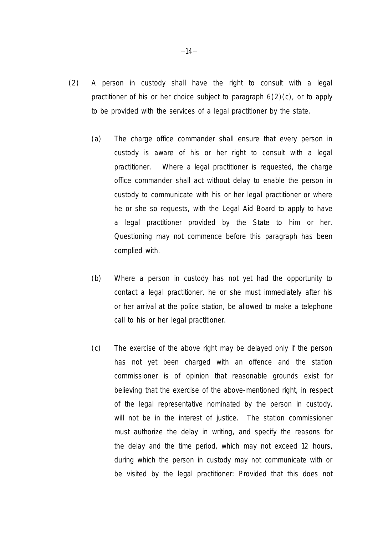- (2) A *person in custody* shall have the right to consult with a legal practitioner of his or her choice subject to paragraph  $6(2)(c)$ , or to apply to be provided with the services of a legal practitioner by the state.
	- (a) The *charge office commander* shall ensure that every *person in custody* is aware of his or her right to consult with a legal practitioner. Where a legal practitioner is requested, the *charge office commander* shall act without delay to enable the *person in custody* to communicate with his or her legal practitioner or where he or she so requests, with the Legal Aid Board to apply to have a legal practitioner provided by the State to him or her. *Questioning* may not commence before this paragraph has been complied with.
	- (b) Where a *person in custody* has not yet had the opportunity to contact a legal practitioner, he or she must immediately after his or her arrival at the police station, be allowed to make a telephone call to his or her legal practitioner.
	- (c) The exercise of the above right may be delayed only if the person has not yet been charged with an offence and the *station commissioner* is of opinion that reasonable grounds exist for believing that the exercise of the above-mentioned right, in respect of the legal representative nominated by the *person in custody,*  will not be in the *interest of justice*. The *station commissioner* must authorize the delay in writing, and specify the reasons for the delay and the time period, which may not exceed 12 hours, during which the *person in custody* may not communicate with or be visited by the legal practitioner: Provided that this does not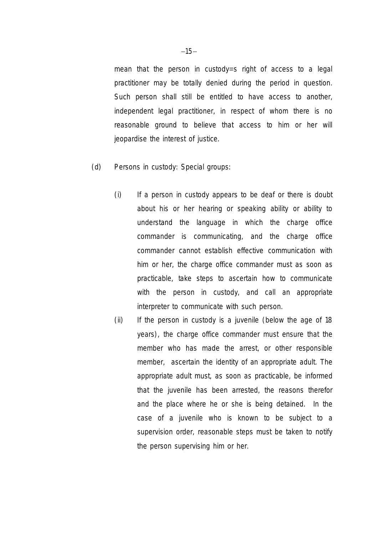mean that the *person in custody=s* right of access to a legal practitioner may be totally denied during the period in question. Such person shall still be entitled to have access to another, independent legal practitioner, in respect of whom there is no reasonable ground to believe that access to him or her will jeopardise the *interest of justice*.

- (d) *Persons in custody*: Special groups:
	- (i) If a *person in custody* appears to be deaf or there is doubt about his or her hearing or speaking ability or ability to understand the language in which the *charge office commander* is communicating, and the *charge office commander* cannot establish effective communication with him or her, the *charge office commander* must as soon as practicable, take steps to ascertain how to communicate with the person in custody, and call an appropriate interpreter to communicate with such person.
	- (ii) If the *person in custody* is a juvenile (below the age of 18 years), the *charge office commander* must ensure that the *member* who has made the arrest, or other responsible *member*, ascertain the identity of an *appropriate adult.* The *appropriate adult* must, as soon as practicable, be informed that the juvenile has been arrested, the reasons therefor and the place where he or she is being detained. In the case of a juvenile who is known to be subject to a supervision order, reasonable steps must be taken to notify the person supervising him or her.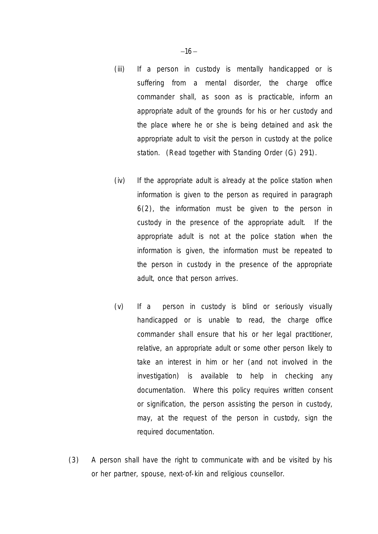- (iii) If a *person in custody* is mentally handicapped or is suffering from a mental disorder, the *charge office commander* shall, as soon as is practicable, inform an *appropriate adult* of the grounds for his or her custody and the place where he or she is being detained and ask the *appropriate adult* to visit the *person in custody* at the police station. (Read together with Standing Order (G) 291).
- (iv) If the *appropriate adult* is already at the police station when information is given to the person as required in paragraph 6(2), the information must be given to the *person in custody* in the presence of the *appropriate adult*. If the *appropriate adult* is not at the police station when the information is given, the information must be repeated to the *person in custody* in the presence of the *appropriate adult,* once that person arrives.
- (v) If a *person in custody* is blind or seriously visually handicapped or is unable to read, the *charge office commander* shall ensure that his or her legal practitioner, relative, an *appropriate adult* or some other person likely to take an interest in him or her (and not involved in the investigation) is available to help in checking any documentation. Where this policy requires written consent or signification, the person assisting the *person in custody*, may, at the request of the *person in custody*, sign the required documentation.
- (3) A person shall have the right to communicate with and be visited by his or her partner, spouse, next-of-kin and religious counsellor.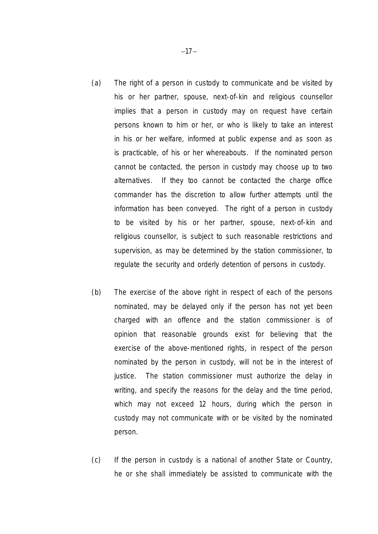- (a) The right of a *person in custody* to communicate and be visited by his or her partner, spouse, next-of-kin and religious counsellor implies that a *person in custody* may on request have certain persons known to him or her, or who is likely to take an interest in his or her welfare, informed at public expense and as soon as is practicable, of his or her whereabouts. If the nominated person cannot be contacted, the *person in custody* may choose up to two alternatives. If they too cannot be contacted the *charge office commander* has the discretion to allow further attempts until the information has been conveyed. The right of a *person in custody* to be visited by his or her partner, spouse, next-of-kin and religious counsellor, is subject to such reasonable restrictions and supervision, as may be determined by the *station commissioner*, to regulate the security and orderly detention of *persons in custody.*
- (b) The exercise of the above right in respect of each of the persons nominated, may be delayed only if the person has not yet been charged with an offence and the *station commissioner* is of opinion that reasonable grounds exist for believing that the exercise of the above-mentioned rights, in respect of the person nominated by the *person in custody,* will not be in the *interest of justice*. The *station commissioner* must authorize the delay in writing, and specify the reasons for the delay and the time period, which may not exceed 12 hours, during which the *person in custody* may not communicate with or be visited by the nominated person.
- (c) If the *person in custody* is a national of another State or Country, he or she shall immediately be assisted to communicate with the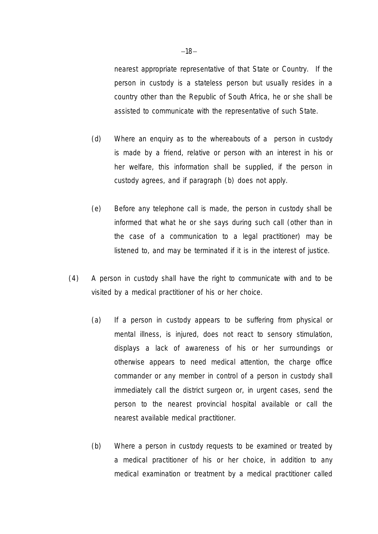nearest appropriate representative of that State or Country. If the *person in custody* is a stateless person but usually resides in a country other than the Republic of South Africa, he or she shall be assisted to communicate with the representative of such State.

- (d) Where an enquiry as to the whereabouts of a *person in custody* is made by a friend, relative or person with an interest in his or her welfare, this information shall be supplied, if the *person in custody* agrees, and if paragraph (b) does not apply.
- (e) Before any telephone call is made, the *person in custody* shall be informed that what he or she says during such call (other than in the case of a communication to a legal practitioner) may be listened to, and may be terminated if it is in the *interest of justice*.
- (4) A *person in custody* shall have the right to communicate with and to be visited by a medical practitioner of his or her choice.
	- (a) If a *person in custody* appears to be suffering from physical or mental illness, is injured, does not react to sensory stimulation, displays a lack of awareness of his or her surroundings or otherwise appears to need medical attention, the *charge office commander* or any *member* in control of a *person in custody* shall immediately call the district surgeon or, in urgent cases, send the person to the nearest provincial hospital available or call the nearest available medical practitioner.
	- (b) Where a *person in custody* requests to be examined or treated by a medical practitioner of his or her choice, in addition to any medical examination or treatment by a medical practitioner called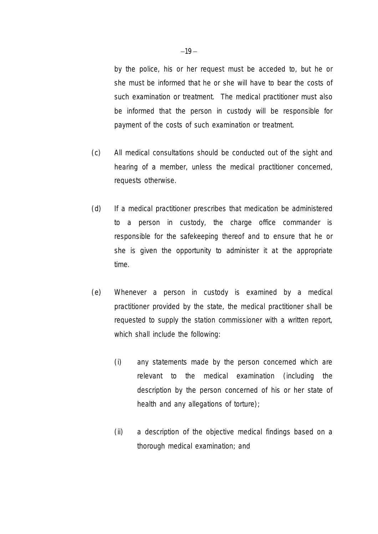by the police, his or her request must be acceded to, but he or she must be informed that he or she will have to bear the costs of such examination or treatment. The medical practitioner must also be informed that the *person in custody* will be responsible for payment of the costs of such examination or treatment.

- (c) All medical consultations should be conducted out of the sight and hearing of a *member*, unless the medical practitioner concerned, requests otherwise.
- (d) If a medical practitioner prescribes that medication be administered to a *person in custody,* the *charge office commander* is responsible for the safekeeping thereof and to ensure that he or she is given the opportunity to administer it at the appropriate time.
- (e) Whenever a *person in custody* is examined by a medical practitioner provided by the state, the medical practitioner shall be requested to supply the *station commissioner* with a written report, which shall include the following:
	- (i) any statements made by the person concerned which are relevant to the medical examination (including the description by the person concerned of his or her state of health and any allegations of *torture*);
	- (ii) a description of the objective medical findings based on a thorough medical examination; and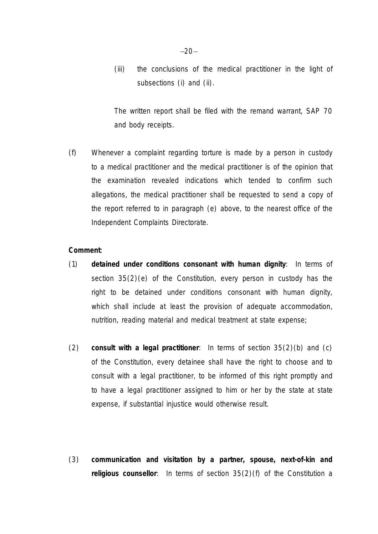(iii) the conclusions of the medical practitioner in the light of subsections (i) and (ii).

The written report shall be filed with the remand warrant, SAP 70 and body receipts.

(f) Whenever a complaint regarding *torture* is made by a *person in custody* to a medical practitioner and the medical practitioner is of the opinion that the examination revealed indications which tended to confirm such allegations, the medical practitioner shall be requested to send a copy of the report referred to in paragraph (e) above, to the nearest office of the Independent Complaints Directorate.

#### **Comment**:

- (1) **detained under conditions consonant with human dignity**: In terms of section 35(2)(e) of the Constitution, every *person in custody* has the right to be detained under conditions consonant with human dignity, which shall include at least the provision of adequate accommodation, nutrition, reading material and medical treatment at state expense;
- (2) **consult with a legal practitioner**: In terms of section 35(2)(b) and (c) of the Constitution, every detainee shall have the right to choose and to consult with a legal practitioner, to be informed of this right promptly and to have a legal practitioner assigned to him or her by the state at state expense, if substantial injustice would otherwise result.
- (3) **communication and visitation by a partner, spouse, next-of-kin and religious counsellor**: In terms of section 35(2)(f) of the Constitution a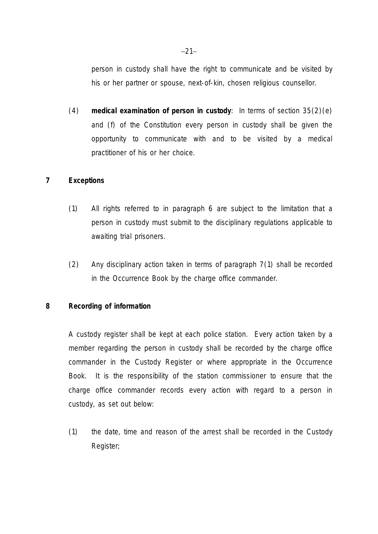*person in custody* shall have the right to communicate and be visited by his or her partner or spouse, next-of-kin, chosen religious counsellor.

(4) **medical examination of** *person in custody*: In terms of section 35(2)(e) and (f) of the Constitution every *person in custody* shall be given the opportunity to communicate with and to be visited by a medical practitioner of his or her choice.

# **7 Exceptions**

- (1) All rights referred to in paragraph 6 are subject to the limitation that a *person in custody* must submit to the disciplinary regulations applicable to awaiting trial prisoners.
- (2) Any disciplinary action taken in terms of paragraph 7(1) shall be recorded in the Occurrence Book by the *charge office commander*.

# **8 Recording of information**

A custody register shall be kept at each police station. Every action taken by a *member* regarding the *person in custody* shall be recorded by the *charge office commander* in the Custody Register or where appropriate in the Occurrence Book. It is the responsibility of the *station commissioner* to ensure that the *charge office commander* records every action with regard to a *person in custody,* as set out below:

(1) the date, time and reason of the arrest shall be recorded in the Custody Register;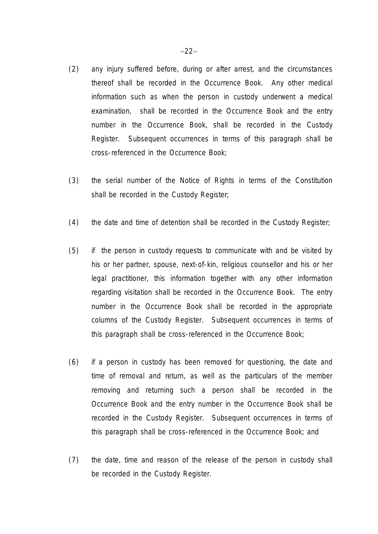- (2) any injury suffered before, during or after arrest, and the circumstances thereof shall be recorded in the Occurrence Book. Any other medical information such as when the *person in custody* underwent a medical examination, shall be recorded in the Occurrence Book and the entry number in the Occurrence Book, shall be recorded in the Custody Register. Subsequent occurrences in terms of this paragraph shall be cross-referenced in the Occurrence Book;
- (3) the serial number of the Notice of Rights in terms of the Constitution shall be recorded in the Custody Register;
- (4) the date and time of detention shall be recorded in the Custody Register;
- (5) if the *person in custody* requests to communicate with and be visited by his or her partner, spouse, next-of-kin, religious counsellor and his or her legal practitioner, this information together with any other information regarding visitation shall be recorded in the Occurrence Book. The entry number in the Occurrence Book shall be recorded in the appropriate columns of the Custody Register. Subsequent occurrences in terms of this paragraph shall be cross-referenced in the Occurrence Book;
- (6) if a *person in custody* has been removed for *questioning*, the date and time of removal and return, as well as the particulars of *the member* removing and returning such a person shall be recorded in the Occurrence Book and the entry number in the Occurrence Book shall be recorded in the Custody Register. Subsequent occurrences in terms of this paragraph shall be cross-referenced in the Occurrence Book; and
- (7) the date, time and reason of the release of the *person in custody* shall be recorded in the Custody Register.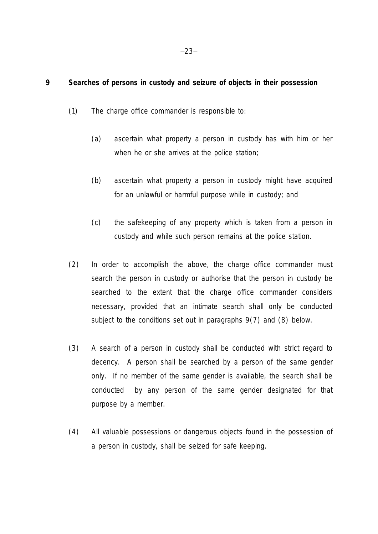# **9 Searches of persons in custody and seizure of objects in their possession**

- (1) The *charge office commander* is responsible to:
	- (a) ascertain what property a *person in custody* has with him or her when he or she arrives at the police station;
	- (b) ascertain what property a *person in custody* might have acquired for an unlawful or harmful purpose while in custody; and
	- (c) the safekeeping of any property which is taken from a *person in custody* and while such person remains at the police station.
- (2) In order to accomplish the above, the *charge office commander* must search the *person in custody* or authorise that the *person in custody* be searched to the extent that the *charge office commander* considers necessary, provided that an *intimate search* shall only be conducted subject to the conditions set out in paragraphs 9(7) and (8) below.
- (3) A search of a *person in custody* shall be conducted with strict regard to decency. A person shall be searched by a person of the same gender only. If no *member* of the same gender is available, the search shall be conducted by any person of the same gender designated for that purpose by a *member*.
- (4) All valuable possessions or dangerous objects found in the possession of a *person in custody*, shall be seized for safe keeping.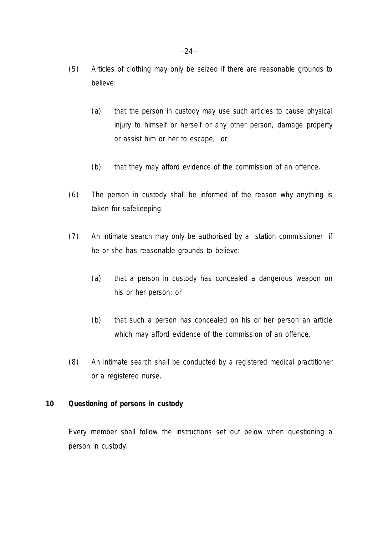- (5) Articles of clothing may only be seized if there are reasonable grounds to believe:
	- (a) that the *person in custody* may use such articles to cause physical injury to himself or herself or any other person, damage property or assist him or her to escape; or
	- (b) that they may afford evidence of the commission of an offence.
- (6) The *person in custody* shall be informed of the reason why anything is taken for safekeeping.
- (7) An *intimate search* may only be authorised by a *station commissioner* if he or she has reasonable grounds to believe:
	- (a) that a *person in custody* has concealed a dangerous weapon on his or her person; or
	- (b) that such a person has concealed on his or her person an article which may afford evidence of the commission of an offence.
- (8) An *intimate search* shall be conducted by a registered medical practitioner or a registered nurse.

# **10** *Questioning* **of** *persons in custody*

Every *member* shall follow the instructions set out below when *questioning* a *person in custody*.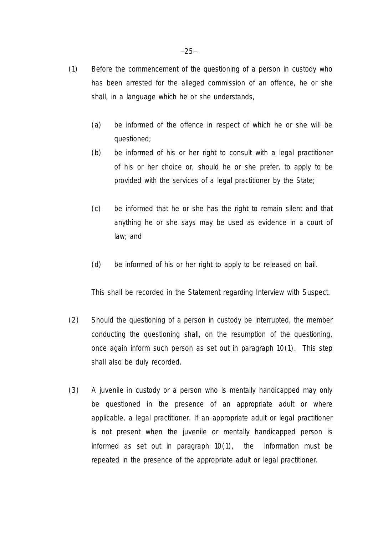- (1) Before the commencement of the *questioning* of a *person in custody* who has been arrested for the alleged commission of an offence, he or she shall, in a language which he or she understands,
	- (a) be informed of the offence in respect of which he or she will be questioned;
	- (b) be informed of his or her right to consult with a legal practitioner of his or her choice or, should he or she prefer, to apply to be provided with the services of a legal practitioner by the State;
	- (c) be informed that he or she has the right to remain silent and that anything he or she says may be used as evidence in a court of law; and
	- (d) be informed of his or her right to apply to be released on bail.

This shall be recorded in the Statement regarding Interview with Suspect.

- (2) Should the *questioning* of a *person in custody* be interrupted, the *member* conducting the *questioning* shall, on the resumption of the *questioning*, once again inform such person as set out in paragraph 10(1). This step shall also be duly recorded.
- (3) A juvenile in custody or a person who is mentally handicapped may only be questioned in the presence of an *appropriate adult* or where applicable, a legal practitioner. If an *appropriate adult* or legal practitioner is not present when the juvenile or mentally handicapped person is informed as set out in paragraph 10(1), the information must be repeated in the presence of the *appropriate adult* or legal practitioner.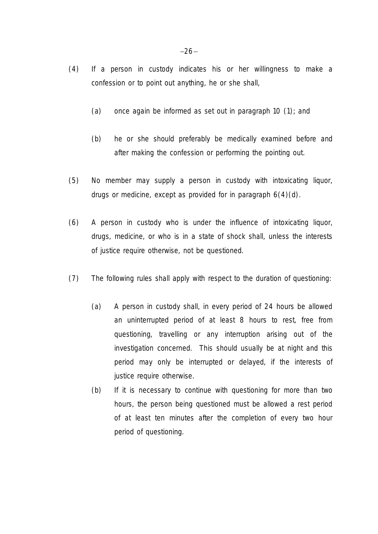- (4) If a *person in custody* indicates his or her willingness to make a confession or to point out anything, he or she shall,
	- (a) once again be informed as set out in paragraph 10 (1); and
	- (b) he or she should preferably be medically examined before and after making the confession or performing the pointing out.
- (5) No *member* may supply a *person in custody* with intoxicating liquor, drugs or medicine, except as provided for in paragraph 6(4)(d).
- (6) A *person in custody* who is under the influence of intoxicating liquor, drugs, medicine, or who is in a state of shock shall, unless the *interests of justice* require otherwise, not be questioned.
- (7) The following rules shall apply with respect to the duration of *questioning*:
	- (a) A *person in custody* shall, in every period of 24 hours be allowed an uninterrupted period of at least 8 hours to rest, free from *questioning*, travelling or any interruption arising out of the investigation concerned. This should usually be at night and this period may only be interrupted or delayed, if the *interests of justice* require otherwise.
	- (b) If it is necessary to continue with *questioning* for more than two hours, the person being questioned must be allowed a rest period of at least ten minutes after the completion of every two hour period of *questioning*.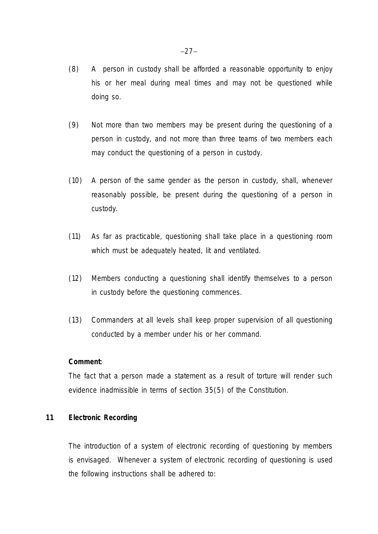- (8) A *person in custody* shall be afforded a reasonable opportunity to enjoy his or her meal during meal times and may not be questioned while doing so.
- (9) Not more than two *members* may be present during the *questioning* of a *person in custody*, and not more than three teams of two *members* each may conduct the *questioning* of a *person in custody*.
- (10) A person of the same gender as the *person in custody*, shall, whenever reasonably possible, be present during the *questioning* of a *person in custody*.
- (11) As far as practicable, *questioning* shall take place in a *questioning* room which must be adequately heated, lit and ventilated.
- (12) *Members* conducting a *questioning* shall identify themselves to a *person in custody* before the *questioning* commences.
- (13) Commanders at all levels shall keep proper supervision of all *questioning* conducted by a *member* under his or her command.

#### **Comment**:

The fact that a person made a statement as a result of *torture* will render such evidence inadmissible in terms of section 35(5) of the Constitution.

# **11 Electronic Recording**

The introduction of a system of electronic recording of *questioning* by *members* is envisaged. Whenever a system of electronic recording of *questioning* is used the following instructions shall be adhered to: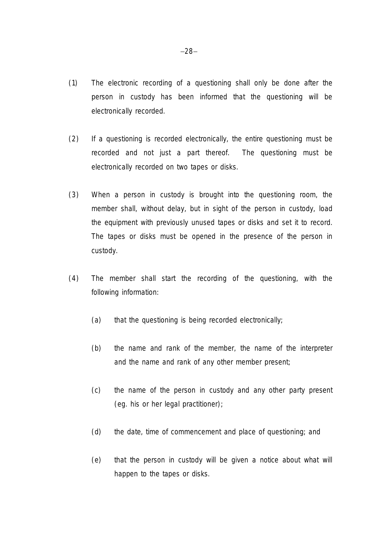- (1) The electronic recording of a *questioning* shall only be done after the *person in custody* has been informed that the *questioning* will be electronically recorded.
- (2) If a *questioning* is recorded electronically, the entire *questioning* must be recorded and not just a part thereof. The *questioning* must be electronically recorded on two tapes or disks.
- (3) When a *person in custody* is brought into the *questioning* room, the *member* shall, without delay, but in sight of the *person in custody*, load the equipment with previously unused tapes or disks and set it to record. The tapes or disks must be opened in the presence of the *person in custody*.
- (4) The *member* shall start the recording of the *questioning*, with the following information:
	- (a) that the *questioning* is being recorded electronically;
	- (b) the name and rank of the *member*, the name of the interpreter and the name and rank of any other *member* present;
	- (c) the name of the *person in custody* and any other party present (eg. his or her legal practitioner);
	- (d) the date, time of commencement and place of *questioning*; and
	- (e) that the *person in custody* will be given a notice about what will happen to the tapes or disks.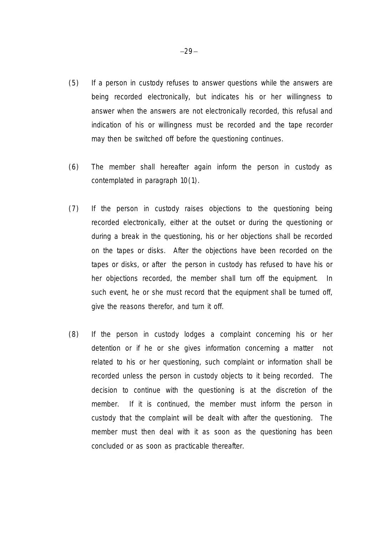- (5) If a *person in custody* refuses to answer questions while the answers are being recorded electronically, but indicates his or her willingness to answer when the answers are not electronically recorded, this refusal and indication of his or willingness must be recorded and the tape recorder may then be switched off before the *questioning* continues.
- (6) The *member* shall hereafter again inform the *person in custody* as contemplated in paragraph 10(1).
- (7) If the *person in custody* raises objections to the *questioning* being recorded electronically, either at the outset or during the *questioning* or during a break in the *questioning*, his or her objections shall be recorded on the tapes or disks. After the objections have been recorded on the tapes or disks, or after the *person in custody* has refused to have his or her objections recorded, the *member* shall turn off the equipment. In such event, he or she must record that the equipment shall be turned off, give the reasons therefor, and turn it off.
- (8) If the *person in custody* lodges a complaint concerning his or her detention or if he or she gives information concerning a matter not related to his or her *questioning*, such complaint or information shall be recorded unless the *person in custody* objects to it being recorded. The decision to continue with the *questioning* is at the discretion of the *member*. If it is continued, the *member* must inform the *person in custody* that the complaint will be dealt with after the *questioning*. The *member* must then deal with it as soon as the *questioning* has been concluded or as soon as practicable thereafter.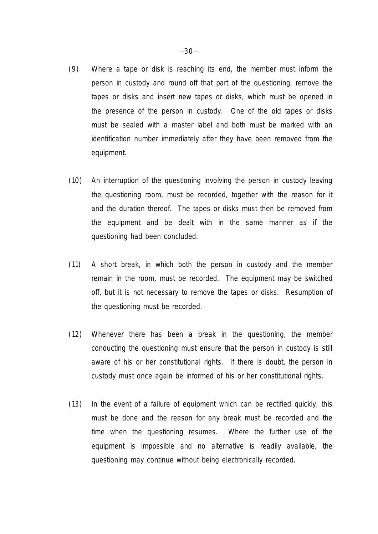- (9) Where a tape or disk is reaching its end, the *member* must inform the *person in custody* and round off that part of the *questioning*, remove the tapes or disks and insert new tapes or disks, which must be opened in the presence of the *person in custody*. One of the old tapes or disks must be sealed with a master label and both must be marked with an identification number immediately after they have been removed from the equipment.
- (10) An interruption of the *questioning* involving the *person in custody* leaving the *questioning* room, must be recorded, together with the reason for it and the duration thereof. The tapes or disks must then be removed from the equipment and be dealt with in the same manner as if the *questioning* had been concluded.
- (11) A short break, in which both the *person in custody* and the *member* remain in the room, must be recorded. The equipment may be switched off, but it is not necessary to remove the tapes or disks. Resumption of the *questioning* must be recorded.
- (12) Whenever there has been a break in the *questioning*, the *member* conducting the *questioning* must ensure that the *person in custody* is still aware of his or her constitutional rights. If there is doubt, the *person in custody* must once again be informed of his or her constitutional rights.
- (13) In the event of a failure of equipment which can be rectified quickly, this must be done and the reason for any break must be recorded and the time when the *questioning* resumes. Where the further use of the equipment is impossible and no alternative is readily available, the *questioning* may continue without being electronically recorded.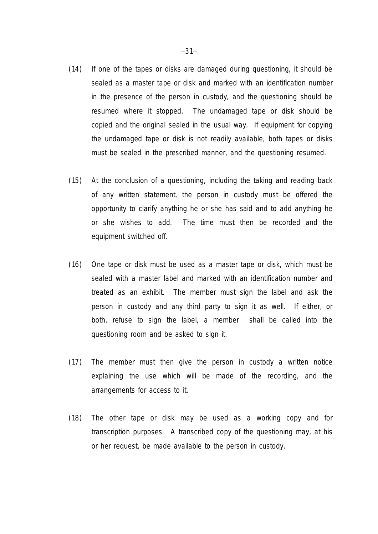- (14) If one of the tapes or disks are damaged during *questioning*, it should be sealed as a master tape or disk and marked with an identification number in the presence of the *person in custody*, and the *questioning* should be resumed where it stopped. The undamaged tape or disk should be copied and the original sealed in the usual way. If equipment for copying the undamaged tape or disk is not readily available, both tapes or disks must be sealed in the prescribed manner, and the *questioning* resumed.
- (15) At the conclusion of a *questioning*, including the taking and reading back of any written statement, the *person in custody* must be offered the opportunity to clarify anything he or she has said and to add anything he or she wishes to add. The time must then be recorded and the equipment switched off.
- (16) One tape or disk must be used as a master tape or disk, which must be sealed with a master label and marked with an identification number and treated as an exhibit. The *member* must sign the label and ask the *person in custody* and any third party to sign it as well. If either, or both, refuse to sign the label, a *member* shall be called into the *questioning* room and be asked to sign it.
- (17) The *member* must then give the *person in custody* a written notice explaining the use which will be made of the recording, and the arrangements for access to it.
- (18) The other tape or disk may be used as a working copy and for transcription purposes. A transcribed copy of the *questioning* may, at his or her request, be made available to the *person in custody*.